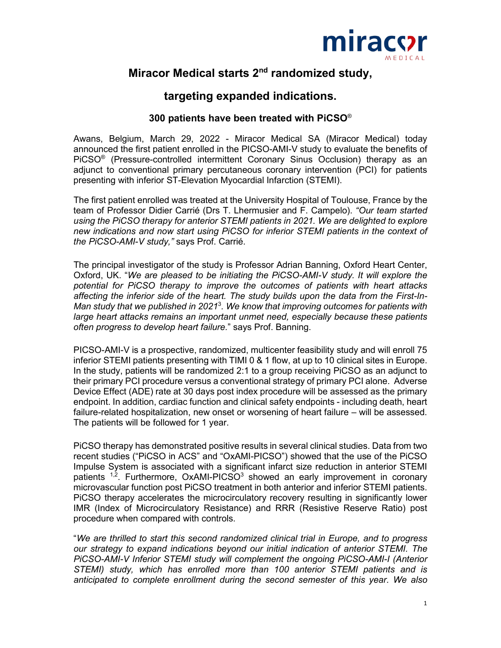

# **Miracor Medical starts 2nd randomized study,**

## **targeting expanded indications.**

## **300 patients have been treated with PiCSO**®

Awans, Belgium, March 29, 2022 - Miracor Medical SA (Miracor Medical) today announced the first patient enrolled in the PICSO-AMI-V study to evaluate the benefits of PiCSO® (Pressure-controlled intermittent Coronary Sinus Occlusion) therapy as an adjunct to conventional primary percutaneous coronary intervention (PCI) for patients presenting with inferior ST-Elevation Myocardial Infarction (STEMI).

The first patient enrolled was treated at the University Hospital of Toulouse, France by the team of Professor Didier Carrié (Drs T. Lhermusier and F. Campelo). *"Our team started using the PiCSO therapy for anterior STEMI patients in 2021. We are delighted to explore new indications and now start using PiCSO for inferior STEMI patients in the context of the PiCSO-AMI-V study,"* says Prof. Carrié.

The principal investigator of the study is Professor Adrian Banning, Oxford Heart Center, Oxford, UK. "*We are pleased to be initiating the PiCSO-AMI-V study. It will explore the potential for PiCSO therapy to improve the outcomes of patients with heart attacks affecting the inferior side of the heart. The study builds upon the data from the First-In-Man study that we published in 2021*<sup>3</sup> *. We know that improving outcomes for patients with large heart attacks remains an important unmet need, especially because these patients often progress to develop heart failure.*" says Prof. Banning.

PICSO-AMI-V is a prospective, randomized, multicenter feasibility study and will enroll 75 inferior STEMI patients presenting with TIMI 0 & 1 flow, at up to 10 clinical sites in Europe. In the study, patients will be randomized 2:1 to a group receiving PiCSO as an adjunct to their primary PCI procedure versus a conventional strategy of primary PCI alone. Adverse Device Effect (ADE) rate at 30 days post index procedure will be assessed as the primary endpoint. In addition, cardiac function and clinical safety endpoints - including death, heart failure-related hospitalization, new onset or worsening of heart failure – will be assessed. The patients will be followed for 1 year.

PiCSO therapy has demonstrated positive results in several clinical studies. Data from two recent studies ("PiCSO in ACS" and "OxAMI-PICSO") showed that the use of the PiCSO Impulse System is associated with a significant infarct size reduction in anterior STEMI patients  $1.2$ . Furthermore, OxAMI-PICSO<sup>3</sup> showed an early improvement in coronary microvascular function post PiCSO treatment in both anterior and inferior STEMI patients. PiCSO therapy accelerates the microcirculatory recovery resulting in significantly lower IMR (Index of Microcirculatory Resistance) and RRR (Resistive Reserve Ratio) post procedure when compared with controls.

"*We are thrilled to start this second randomized clinical trial in Europe, and to progress our strategy to expand indications beyond our initial indication of anterior STEMI. The PiCSO-AMI-V Inferior STEMI study will complement the ongoing PiCSO-AMI-I (Anterior STEMI) study, which has enrolled more than 100 anterior STEMI patients and is anticipated to complete enrollment during the second semester of this year. We also*